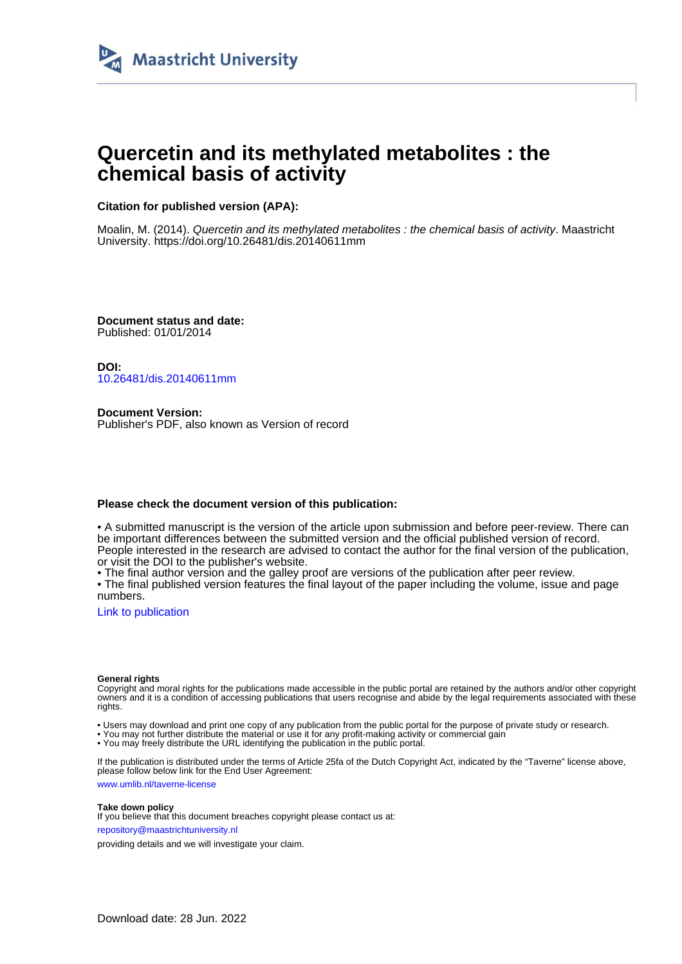

# **Quercetin and its methylated metabolites : the chemical basis of activity**

### **Citation for published version (APA):**

Moalin, M. (2014). Quercetin and its methylated metabolites : the chemical basis of activity. Maastricht University.<https://doi.org/10.26481/dis.20140611mm>

**Document status and date:** Published: 01/01/2014

**DOI:** [10.26481/dis.20140611mm](https://doi.org/10.26481/dis.20140611mm)

**Document Version:** Publisher's PDF, also known as Version of record

#### **Please check the document version of this publication:**

• A submitted manuscript is the version of the article upon submission and before peer-review. There can be important differences between the submitted version and the official published version of record. People interested in the research are advised to contact the author for the final version of the publication, or visit the DOI to the publisher's website.

• The final author version and the galley proof are versions of the publication after peer review.

• The final published version features the final layout of the paper including the volume, issue and page numbers.

[Link to publication](https://cris.maastrichtuniversity.nl/en/publications/ec5081d0-b3dd-463c-b649-cc75b2be6d3c)

#### **General rights**

Copyright and moral rights for the publications made accessible in the public portal are retained by the authors and/or other copyright owners and it is a condition of accessing publications that users recognise and abide by the legal requirements associated with these rights.

• Users may download and print one copy of any publication from the public portal for the purpose of private study or research.

• You may not further distribute the material or use it for any profit-making activity or commercial gain

• You may freely distribute the URL identifying the publication in the public portal.

If the publication is distributed under the terms of Article 25fa of the Dutch Copyright Act, indicated by the "Taverne" license above, please follow below link for the End User Agreement:

www.umlib.nl/taverne-license

#### **Take down policy**

If you believe that this document breaches copyright please contact us at: repository@maastrichtuniversity.nl

providing details and we will investigate your claim.